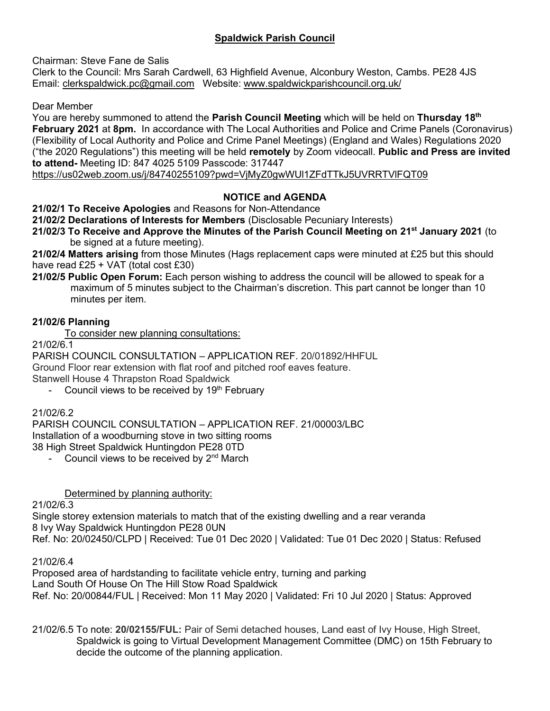# **Spaldwick Parish Council**

Chairman: Steve Fane de Salis

Clerk to the Council: Mrs Sarah Cardwell, 63 Highfield Avenue, Alconbury Weston, Cambs. PE28 4JS Email: [clerkspaldwick.pc@gmail.com](mailto:clerkspaldwick.pc@gmail.com) Website: [www.spaldwickparishcouncil.org.uk/](http://www.spaldwickparishcouncil.org.uk/)

Dear Member

You are hereby summoned to attend the **Parish Council Meeting** which will be held on **Thursday 18th February 2021** at **8pm.** In accordance with The Local Authorities and Police and Crime Panels (Coronavirus) (Flexibility of Local Authority and Police and Crime Panel Meetings) (England and Wales) Regulations 2020 ("the 2020 Regulations") this meeting will be held **remotely** by Zoom videocall. **Public and Press are invited to attend-** Meeting ID: 847 4025 5109 Passcode: 317447

<https://us02web.zoom.us/j/84740255109?pwd=VjMyZ0gwWUl1ZFdTTkJ5UVRRTVlFQT09>

# **NOTICE and AGENDA**

**21/02/1 To Receive Apologies** and Reasons for Non-Attendance

**21/02/2 Declarations of Interests for Members** (Disclosable Pecuniary Interests)

**21/02/3 To Receive and Approve the Minutes of the Parish Council Meeting on 21st January 2021** (to be signed at a future meeting).

**21/02/4 Matters arising** from those Minutes (Hags replacement caps were minuted at £25 but this should have read  $£25 + VAT$  (total cost  $£30)$ 

**21/02/5 Public Open Forum:** Each person wishing to address the council will be allowed to speak for a maximum of 5 minutes subject to the Chairman's discretion. This part cannot be longer than 10 minutes per item.

## **21/02/6 Planning**

To consider new planning consultations:

21/02/6.1

PARISH COUNCIL CONSULTATION – APPLICATION REF. 20/01892/HHFUL Ground Floor rear extension with flat roof and pitched roof eaves feature. Stanwell House 4 Thrapston Road Spaldwick

- Council views to be received by  $19<sup>th</sup>$  February

### 21/02/6.2

PARISH COUNCIL CONSULTATION – APPLICATION REF. 21/00003/LBC Installation of a woodburning stove in two sitting rooms 38 High Street Spaldwick Huntingdon PE28 0TD

Council views to be received by 2<sup>nd</sup> March

### Determined by planning authority:

21/02/6.3

Single storey extension materials to match that of the existing dwelling and a rear veranda 8 Ivy Way Spaldwick Huntingdon PE28 0UN Ref. No: 20/02450/CLPD | Received: Tue 01 Dec 2020 | Validated: Tue 01 Dec 2020 | Status: Refused

21/02/6.4

Proposed area of hardstanding to facilitate vehicle entry, turning and parking Land South Of House On The Hill Stow Road Spaldwick Ref. No: 20/00844/FUL | Received: Mon 11 May 2020 | Validated: Fri 10 Jul 2020 | Status: Approved

21/02/6.5 To note: **20/02155/FUL:** Pair of Semi detached houses, Land east of Ivy House, High Street, Spaldwick is going to Virtual Development Management Committee (DMC) on 15th February to decide the outcome of the planning application.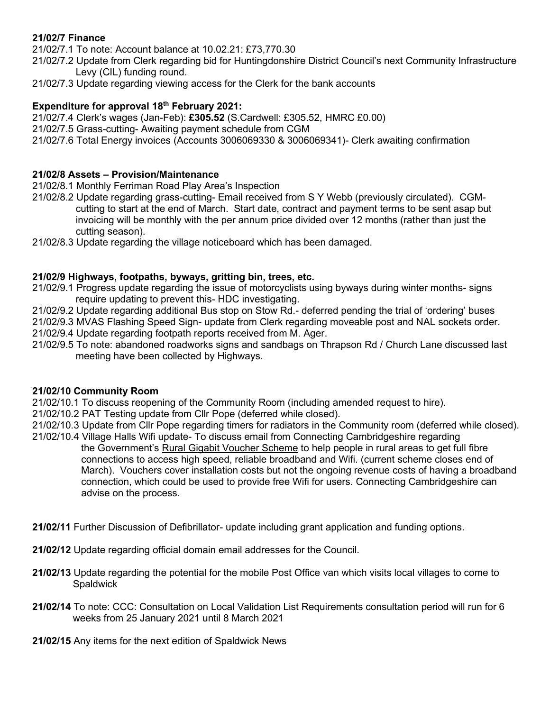## **21/02/7 Finance**

21/02/7.1 To note: Account balance at 10.02.21: £73,770.30

- 21/02/7.2 Update from Clerk regarding bid for Huntingdonshire District Council's next Community Infrastructure Levy (CIL) funding round.
- 21/02/7.3 Update regarding viewing access for the Clerk for the bank accounts

### **Expenditure for approval 18th February 2021:**

21/02/7.4 Clerk's wages (Jan-Feb): **£305.52** (S.Cardwell: £305.52, HMRC £0.00) 21/02/7.5 Grass-cutting- Awaiting payment schedule from CGM

21/02/7.6 Total Energy invoices (Accounts 3006069330 & 3006069341)- Clerk awaiting confirmation

### **21/02/8 Assets – Provision/Maintenance**

21/02/8.1 Monthly Ferriman Road Play Area's Inspection

- 21/02/8.2 Update regarding grass-cutting- Email received from S Y Webb (previously circulated). CGM cutting to start at the end of March. Start date, contract and payment terms to be sent asap but invoicing will be monthly with the per annum price divided over 12 months (rather than just the cutting season).
- 21/02/8.3 Update regarding the village noticeboard which has been damaged.

#### **21/02/9 Highways, footpaths, byways, gritting bin, trees, etc.**

- 21/02/9.1 Progress update regarding the issue of motorcyclists using byways during winter months- signs require updating to prevent this- HDC investigating.
- 21/02/9.2 Update regarding additional Bus stop on Stow Rd.- deferred pending the trial of 'ordering' buses
- 21/02/9.3 MVAS Flashing Speed Sign- update from Clerk regarding moveable post and NAL sockets order. 21/02/9.4 Update regarding footpath reports received from M. Ager.
- 21/02/9.5 To note: abandoned roadworks signs and sandbags on Thrapson Rd / Church Lane discussed last meeting have been collected by Highways.

#### **21/02/10 Community Room**

21/02/10.1 To discuss reopening of the Community Room (including amended request to hire).

- 21/02/10.2 PAT Testing update from Cllr Pope (deferred while closed).
- 21/02/10.3 Update from Cllr Pope regarding timers for radiators in the Community room (deferred while closed).
- 21/02/10.4 Village Halls Wifi update- To discuss email from Connecting Cambridgeshire regarding the Government's [Rural Gigabit Voucher Scheme](https://gigabitvoucher.culture.gov.uk/) to help people in rural areas to get full fibre connections to access high speed, reliable broadband and Wifi. (current scheme closes end of March). Vouchers cover installation costs but not the ongoing revenue costs of having a broadband connection, which could be used to provide free Wifi for users. Connecting Cambridgeshire can advise on the process.
- **21/02/11** Further Discussion of Defibrillator- update including grant application and funding options.
- **21/02/12** Update regarding official domain email addresses for the Council.
- **21/02/13** Update regarding the potential for the mobile Post Office van which visits local villages to come to **Spaldwick**
- **21/02/14** To note: CCC: Consultation on Local Validation List Requirements consultation period will run for 6 weeks from 25 January 2021 until 8 March 2021
- **21/02/15** Any items for the next edition of Spaldwick News